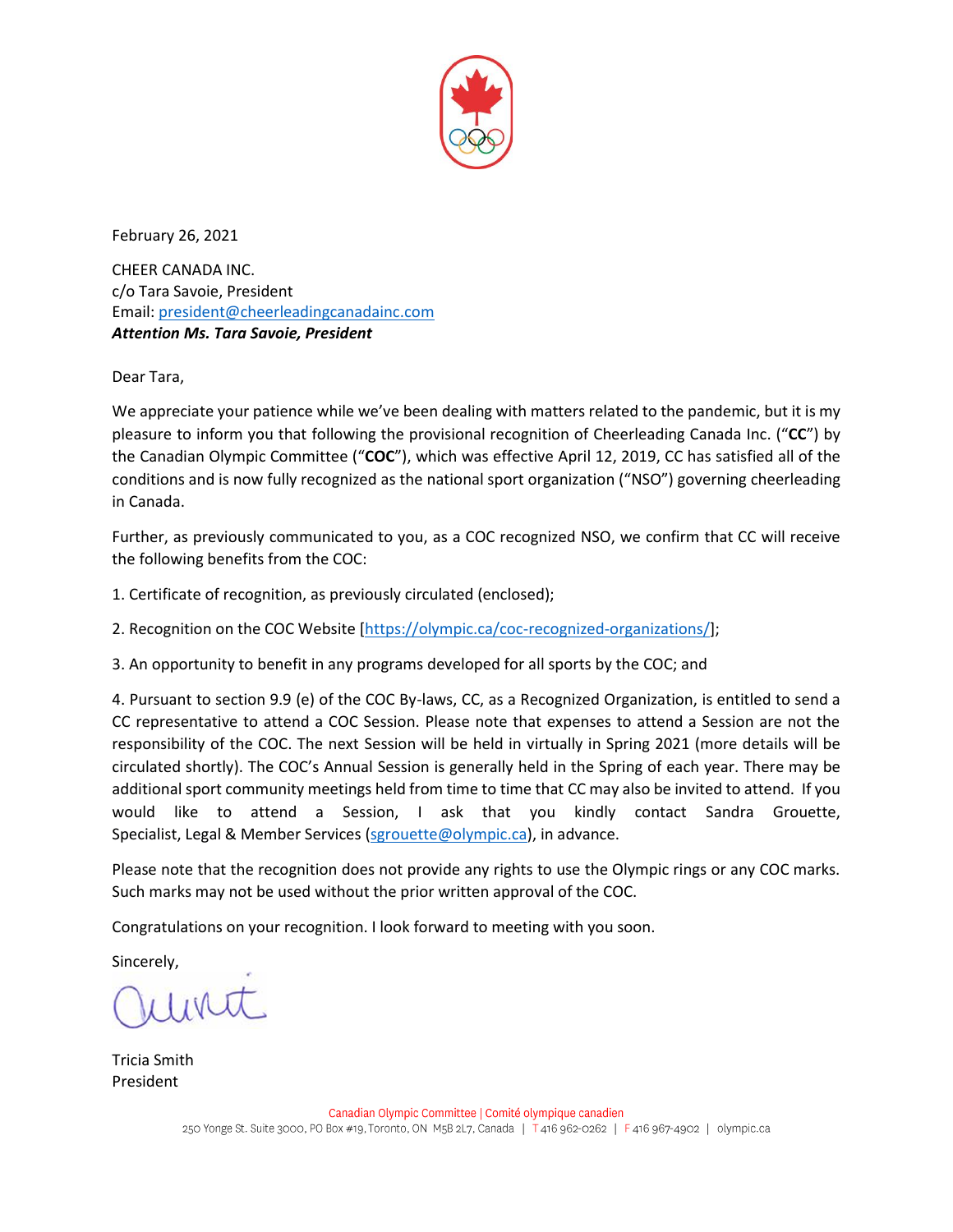

February 26, 2021

CHEER CANADA INC. c/o Tara Savoie, President Email: [president@cheerleadingcanadainc.com](mailto:president@cheerleadingcanadainc.com) *Attention Ms. Tara Savoie, President* 

Dear Tara,

We appreciate your patience while we've been dealing with matters related to the pandemic, but it is my pleasure to inform you that following the provisional recognition of Cheerleading Canada Inc. ("**CC**") by the Canadian Olympic Committee ("**COC**"), which was effective April 12, 2019, CC has satisfied all of the conditions and is now fully recognized as the national sport organization ("NSO") governing cheerleading in Canada.

Further, as previously communicated to you, as a COC recognized NSO, we confirm that CC will receive the following benefits from the COC:

1. Certificate of recognition, as previously circulated (enclosed);

2. Recognition on the COC Website [\[https://olympic.ca/coc-recognized-organizations/\]](https://olympic.ca/coc-recognized-organizations/);

3. An opportunity to benefit in any programs developed for all sports by the COC; and

4. Pursuant to section 9.9 (e) of the COC By-laws, CC, as a Recognized Organization, is entitled to send a CC representative to attend a COC Session. Please note that expenses to attend a Session are not the responsibility of the COC. The next Session will be held in virtually in Spring 2021 (more details will be circulated shortly). The COC's Annual Session is generally held in the Spring of each year. There may be additional sport community meetings held from time to time that CC may also be invited to attend. If you would like to attend a Session, I ask that you kindly contact Sandra Grouette, Specialist, Legal & Member Services [\(sgrouette@olympic.ca\)](mailto:chuang@olympic.ca), in advance.

Please note that the recognition does not provide any rights to use the Olympic rings or any COC marks. Such marks may not be used without the prior written approval of the COC.

Congratulations on your recognition. I look forward to meeting with you soon.

Sincerely,

linut

Tricia Smith President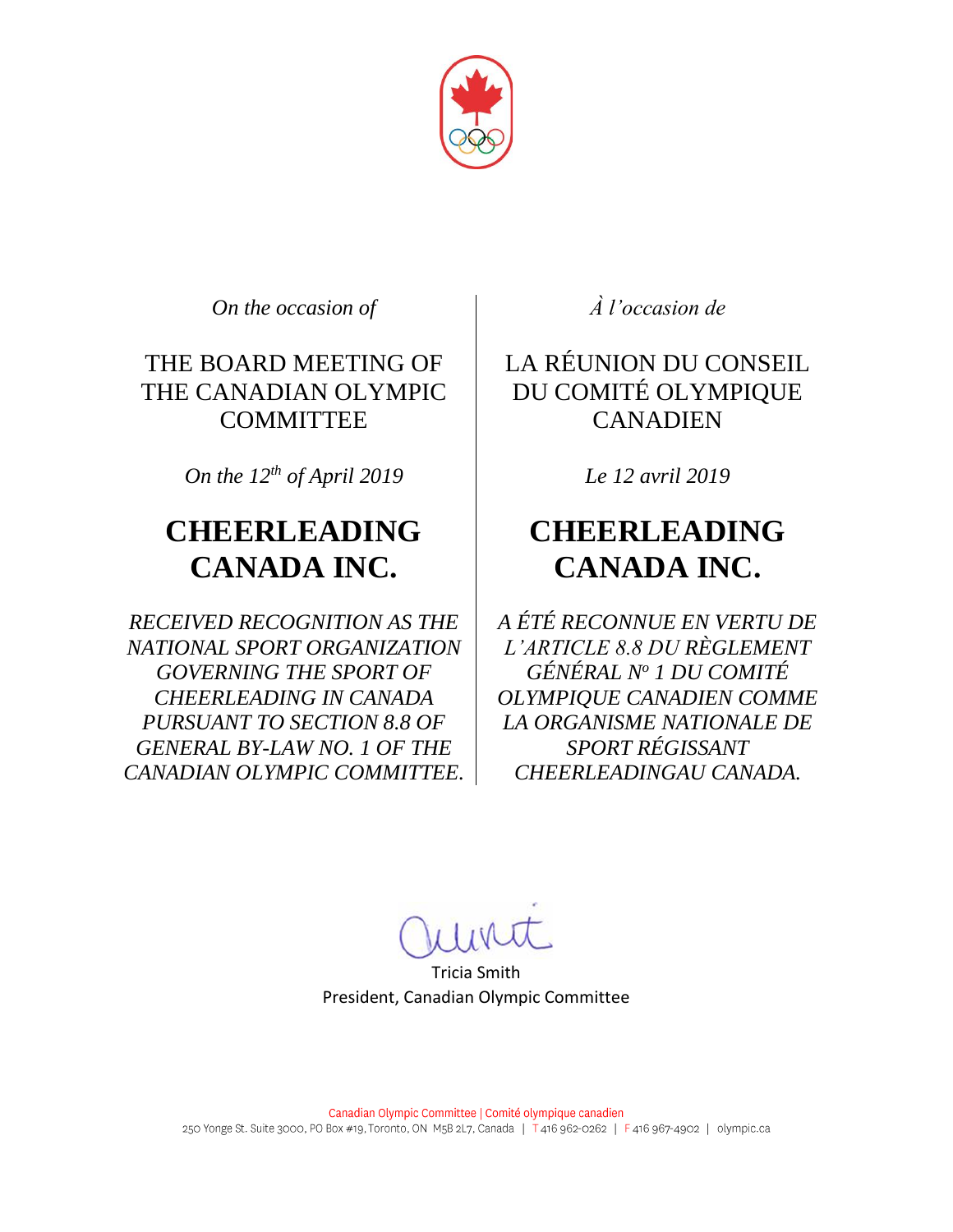

*On the occasion of À l'occasion de*

THE BOARD MEETING OF THE CANADIAN OLYMPIC **COMMITTEE** 

*On the 12 th of April 2019 Le 12 avril 2019*

## **CHEERLEADING CANADA INC.**

*RECEIVED RECOGNITION AS THE NATIONAL SPORT ORGANIZATION GOVERNING THE SPORT OF CHEERLEADING IN CANADA PURSUANT TO SECTION 8.8 OF GENERAL BY-LAW NO. 1 OF THE CANADIAN OLYMPIC COMMITTEE.*

LA RÉUNION DU CONSEIL DU COMITÉ OLYMPIQUE **CANADIEN** 

## **CHEERLEADING CANADA INC.**

*A ÉTÉ RECONNUE EN VERTU DE L'ARTICLE 8.8 DU RÈGLEMENT GÉNÉRAL N<sup>o</sup> 1 DU COMITÉ OLYMPIQUE CANADIEN COMME LA ORGANISME NATIONALE DE SPORT RÉGISSANT CHEERLEADINGAU CANADA.*

Tricia Smith President, Canadian Olympic Committee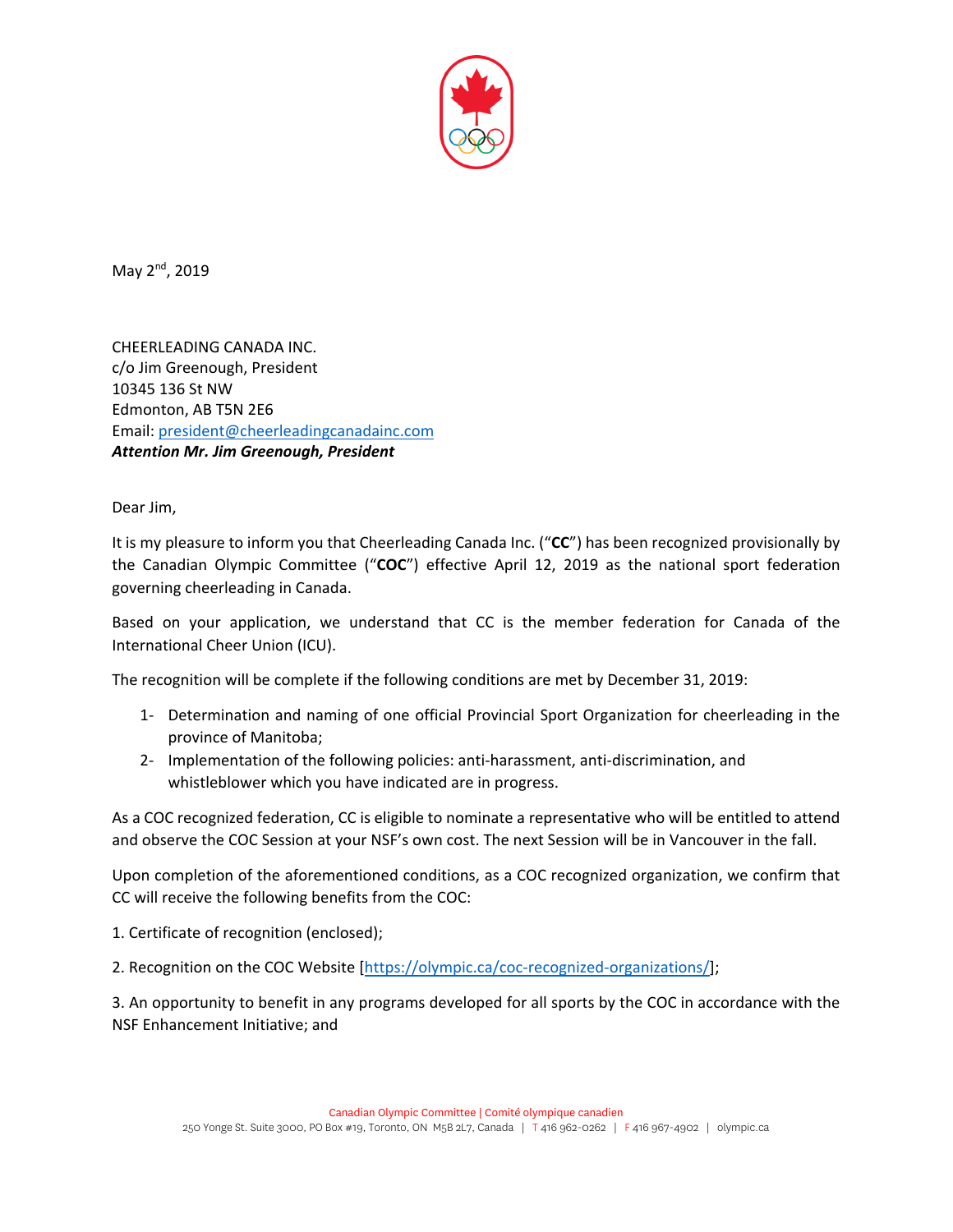

May 2<sup>nd</sup>, 2019

CHEERLEADING CANADA INC. c/o Jim Greenough, President 10345 136 St NW Edmonton, AB T5N 2E6 Email: president@cheerleadingcanadainc.com *Attention Mr. Jim Greenough, President* 

Dear Jim,

It is my pleasure to inform you that Cheerleading Canada Inc. ("**CC**") has been recognized provisionally by the Canadian Olympic Committee ("**COC**") effective April 12, 2019 as the national sport federation governing cheerleading in Canada.

Based on your application, we understand that CC is the member federation for Canada of the International Cheer Union (ICU).

The recognition will be complete if the following conditions are met by December 31, 2019:

- 1‐ Determination and naming of one official Provincial Sport Organization for cheerleading in the province of Manitoba;
- 2‐ Implementation of the following policies: anti‐harassment, anti‐discrimination, and whistleblower which you have indicated are in progress.

As a COC recognized federation, CC is eligible to nominate a representative who will be entitled to attend and observe the COC Session at your NSF's own cost. The next Session will be in Vancouver in the fall.

Upon completion of the aforementioned conditions, as a COC recognized organization, we confirm that CC will receive the following benefits from the COC:

1. Certificate of recognition (enclosed);

2. Recognition on the COC Website [https://olympic.ca/coc-recognized-organizations/];

3. An opportunity to benefit in any programs developed for all sports by the COC in accordance with the NSF Enhancement Initiative; and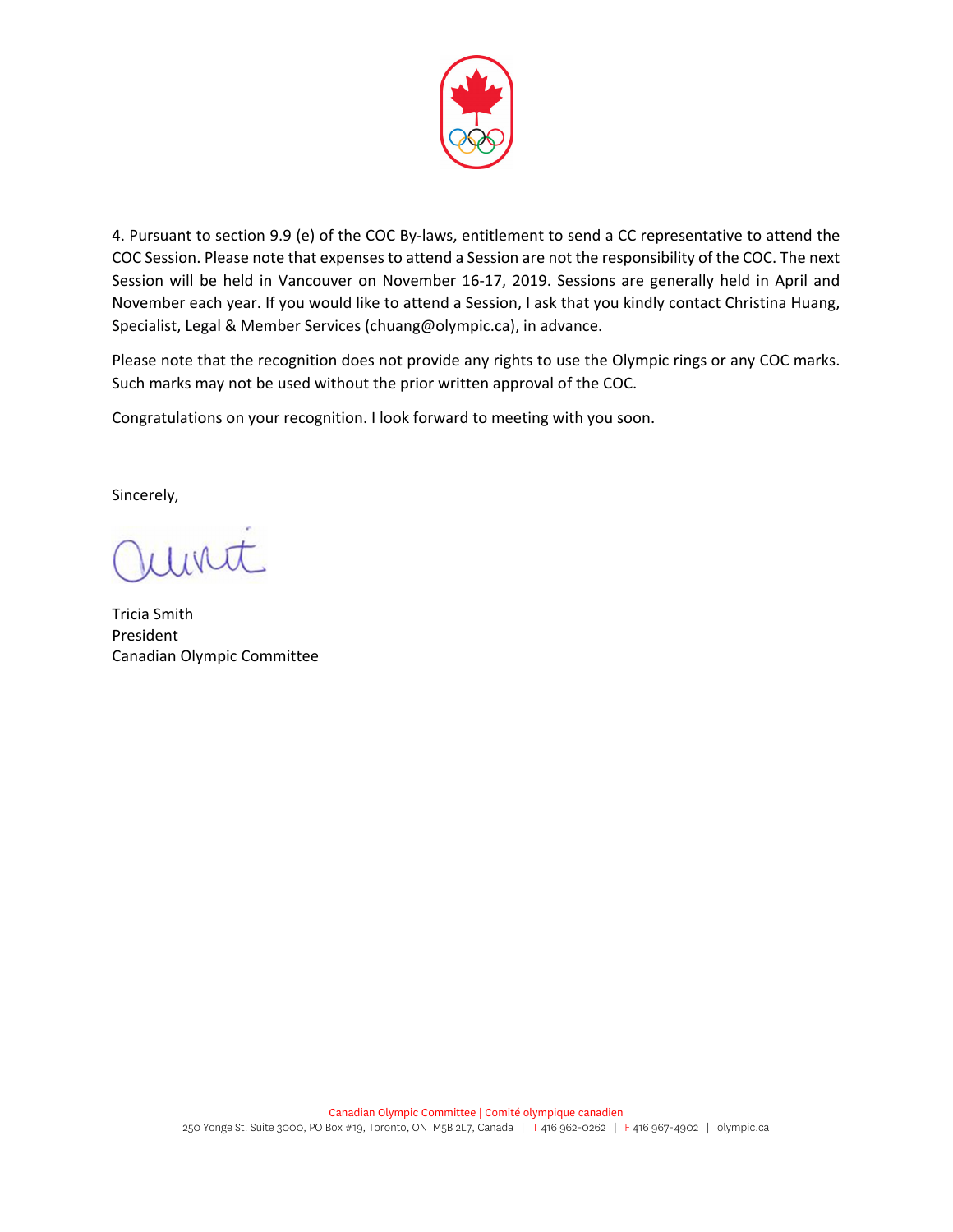

4. Pursuant to section 9.9 (e) of the COC By-laws, entitlement to send a CC representative to attend the COC Session. Please note that expenses to attend a Session are not the responsibility of the COC. The next Session will be held in Vancouver on November 16‐17, 2019. Sessions are generally held in April and November each year. If you would like to attend a Session, I ask that you kindly contact Christina Huang, Specialist, Legal & Member Services (chuang@olympic.ca), in advance.

Please note that the recognition does not provide any rights to use the Olympic rings or any COC marks. Such marks may not be used without the prior written approval of the COC.

Congratulations on your recognition. I look forward to meeting with you soon.

Sincerely,

Tricia Smith President Canadian Olympic Committee